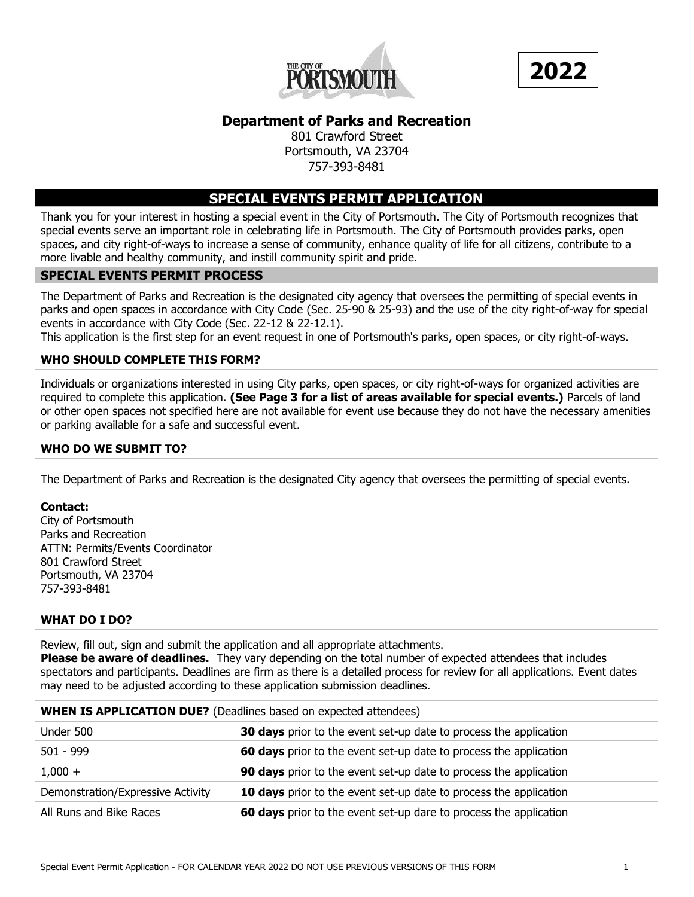



# **Department of Parks and Recreation**

801 Crawford Street Portsmouth, VA 23704 757-393-8481

## **SPECIAL EVENTS PERMIT APPLICATION**

Thank you for your interest in hosting a special event in the City of Portsmouth. The City of Portsmouth recognizes that special events serve an important role in celebrating life in Portsmouth. The City of Portsmouth provides parks, open spaces, and city right-of-ways to increase a sense of community, enhance quality of life for all citizens, contribute to a more livable and healthy community, and instill community spirit and pride.

#### **SPECIAL EVENTS PERMIT PROCESS**

The Department of Parks and Recreation is the designated city agency that oversees the permitting of special events in parks and open spaces in accordance with City Code (Sec. 25-90 & 25-93) and the use of the city right-of-way for special events in accordance with City Code (Sec. 22-12 & 22-12.1).

This application is the first step for an event request in one of Portsmouth's parks, open spaces, or city right-of-ways.

## **WHO SHOULD COMPLETE THIS FORM?**

Individuals or organizations interested in using City parks, open spaces, or city right-of-ways for organized activities are required to complete this application. **(See Page 3 for a list of areas available for special events.)** Parcels of land or other open spaces not specified here are not available for event use because they do not have the necessary amenities or parking available for a safe and successful event.

## **WHO DO WE SUBMIT TO?**

The Department of Parks and Recreation is the designated City agency that oversees the permitting of special events.

#### **Contact:**

City of Portsmouth Parks and Recreation ATTN: Permits/Events Coordinator 801 Crawford Street Portsmouth, VA 23704 757-393-8481

## **WHAT DO I DO?**

Review, fill out, sign and submit the application and all appropriate attachments.

**Please be aware of deadlines.** They vary depending on the total number of expected attendees that includes spectators and participants. Deadlines are firm as there is a detailed process for review for all applications. Event dates may need to be adjusted according to these application submission deadlines.

#### **WHEN IS APPLICATION DUE?** (Deadlines based on expected attendees)

| Under 500                         | 30 days prior to the event set-up date to process the application |
|-----------------------------------|-------------------------------------------------------------------|
| $501 - 999$                       | 60 days prior to the event set-up date to process the application |
| $1,000 +$                         | 90 days prior to the event set-up date to process the application |
| Demonstration/Expressive Activity | 10 days prior to the event set-up date to process the application |
| All Runs and Bike Races           | 60 days prior to the event set-up dare to process the application |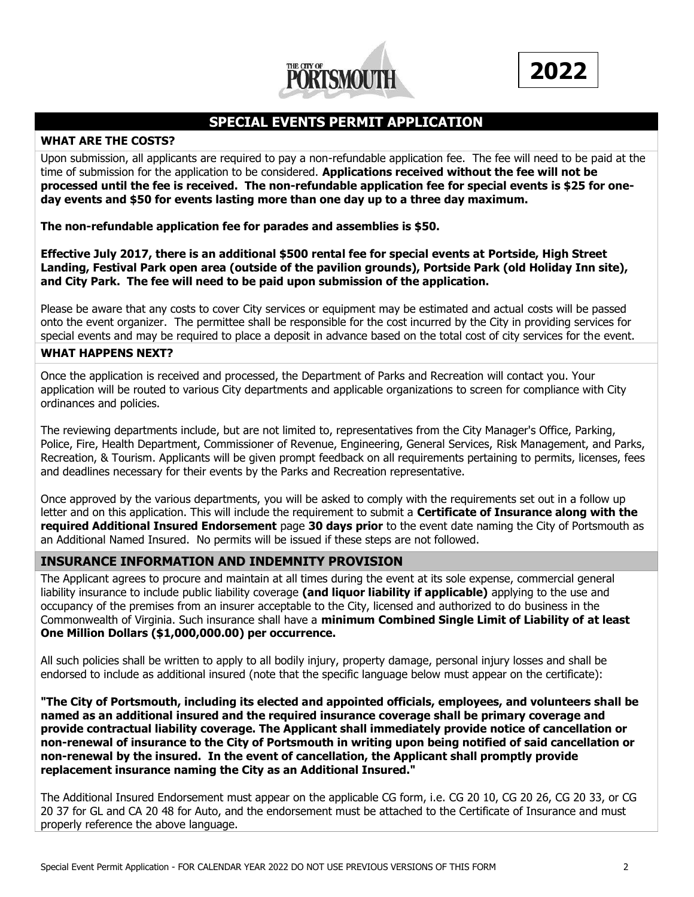



# **SPECIAL EVENTS PERMIT APPLICATION**

#### **WHAT ARE THE COSTS?**

Upon submission, all applicants are required to pay a non-refundable application fee. The fee will need to be paid at the time of submission for the application to be considered. **Applications received without the fee will not be processed until the fee is received. The non-refundable application fee for special events is \$25 for oneday events and \$50 for events lasting more than one day up to a three day maximum.**

#### **The non-refundable application fee for parades and assemblies is \$50.**

**Effective July 2017, there is an additional \$500 rental fee for special events at Portside, High Street Landing, Festival Park open area (outside of the pavilion grounds), Portside Park (old Holiday Inn site), and City Park. The fee will need to be paid upon submission of the application.**

Please be aware that any costs to cover City services or equipment may be estimated and actual costs will be passed onto the event organizer. The permittee shall be responsible for the cost incurred by the City in providing services for special events and may be required to place a deposit in advance based on the total cost of city services for the event.

#### **WHAT HAPPENS NEXT?**

Once the application is received and processed, the Department of Parks and Recreation will contact you. Your application will be routed to various City departments and applicable organizations to screen for compliance with City ordinances and policies.

The reviewing departments include, but are not limited to, representatives from the City Manager's Office, Parking, Police, Fire, Health Department, Commissioner of Revenue, Engineering, General Services, Risk Management, and Parks, Recreation, & Tourism. Applicants will be given prompt feedback on all requirements pertaining to permits, licenses, fees and deadlines necessary for their events by the Parks and Recreation representative.

Once approved by the various departments, you will be asked to comply with the requirements set out in a follow up letter and on this application. This will include the requirement to submit a **Certificate of Insurance along with the required Additional Insured Endorsement** page **30 days prior** to the event date naming the City of Portsmouth as an Additional Named Insured. No permits will be issued if these steps are not followed.

## **INSURANCE INFORMATION AND INDEMNITY PROVISION**

The Applicant agrees to procure and maintain at all times during the event at its sole expense, commercial general liability insurance to include public liability coverage **(and liquor liability if applicable)** applying to the use and occupancy of the premises from an insurer acceptable to the City, licensed and authorized to do business in the Commonwealth of Virginia. Such insurance shall have a **minimum Combined Single Limit of Liability of at least One Million Dollars (\$1,000,000.00) per occurrence.**

All such policies shall be written to apply to all bodily injury, property damage, personal injury losses and shall be endorsed to include as additional insured (note that the specific language below must appear on the certificate):

**"The City of Portsmouth, including its elected and appointed officials, employees, and volunteers shall be named as an additional insured and the required insurance coverage shall be primary coverage and provide contractual liability coverage. The Applicant shall immediately provide notice of cancellation or non-renewal of insurance to the City of Portsmouth in writing upon being notified of said cancellation or non-renewal by the insured. In the event of cancellation, the Applicant shall promptly provide replacement insurance naming the City as an Additional Insured."**

The Additional Insured Endorsement must appear on the applicable CG form, i.e. CG 20 10, CG 20 26, CG 20 33, or CG 20 37 for GL and CA 20 48 for Auto, and the endorsement must be attached to the Certificate of Insurance and must properly reference the above language.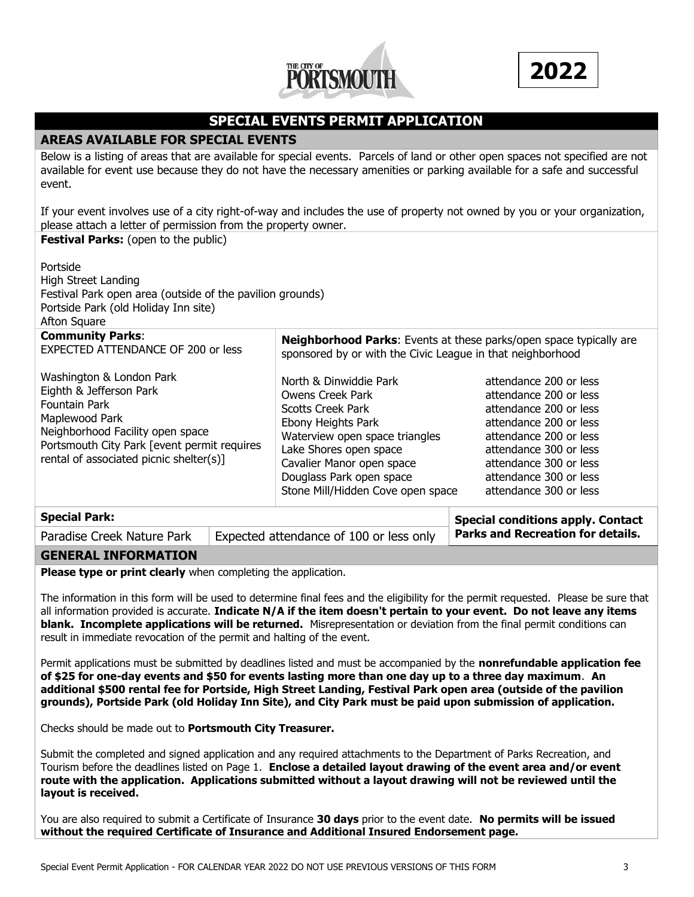



# **SPECIAL EVENTS PERMIT APPLICATION**

## **AREAS AVAILABLE FOR SPECIAL EVENTS**

Below is a listing of areas that are available for special events. Parcels of land or other open spaces not specified are not available for event use because they do not have the necessary amenities or parking available for a safe and successful event.

If your event involves use of a city right-of-way and includes the use of property not owned by you or your organization, please attach a letter of permission from the property owner. **Festival Parks:** (open to the public)

| Portside<br><b>High Street Landing</b><br>Festival Park open area (outside of the pavilion grounds)<br>Portside Park (old Holiday Inn site)<br>Afton Square                                                                                                                                                                                                                                                                                                       |  |                                                                                                                                                                                                                                                               |                                                                                                                                                                                                                                        |  |  |  |  |  |
|-------------------------------------------------------------------------------------------------------------------------------------------------------------------------------------------------------------------------------------------------------------------------------------------------------------------------------------------------------------------------------------------------------------------------------------------------------------------|--|---------------------------------------------------------------------------------------------------------------------------------------------------------------------------------------------------------------------------------------------------------------|----------------------------------------------------------------------------------------------------------------------------------------------------------------------------------------------------------------------------------------|--|--|--|--|--|
| <b>Community Parks:</b><br><b>EXPECTED ATTENDANCE OF 200 or less</b>                                                                                                                                                                                                                                                                                                                                                                                              |  | sponsored by or with the Civic League in that neighborhood                                                                                                                                                                                                    | Neighborhood Parks: Events at these parks/open space typically are                                                                                                                                                                     |  |  |  |  |  |
| Washington & London Park<br>Eighth & Jefferson Park<br><b>Fountain Park</b><br>Maplewood Park<br>Neighborhood Facility open space<br>Portsmouth City Park [event permit requires<br>rental of associated picnic shelter(s)]                                                                                                                                                                                                                                       |  | North & Dinwiddie Park<br><b>Owens Creek Park</b><br><b>Scotts Creek Park</b><br>Ebony Heights Park<br>Waterview open space triangles<br>Lake Shores open space<br>Cavalier Manor open space<br>Douglass Park open space<br>Stone Mill/Hidden Cove open space | attendance 200 or less<br>attendance 200 or less<br>attendance 200 or less<br>attendance 200 or less<br>attendance 200 or less<br>attendance 300 or less<br>attendance 300 or less<br>attendance 300 or less<br>attendance 300 or less |  |  |  |  |  |
| <b>Special Park:</b>                                                                                                                                                                                                                                                                                                                                                                                                                                              |  |                                                                                                                                                                                                                                                               | <b>Special conditions apply. Contact</b>                                                                                                                                                                                               |  |  |  |  |  |
| Paradise Creek Nature Park                                                                                                                                                                                                                                                                                                                                                                                                                                        |  | Expected attendance of 100 or less only                                                                                                                                                                                                                       | <b>Parks and Recreation for details.</b>                                                                                                                                                                                               |  |  |  |  |  |
| <b>GENERAL INFORMATION</b>                                                                                                                                                                                                                                                                                                                                                                                                                                        |  |                                                                                                                                                                                                                                                               |                                                                                                                                                                                                                                        |  |  |  |  |  |
| Please type or print clearly when completing the application.                                                                                                                                                                                                                                                                                                                                                                                                     |  |                                                                                                                                                                                                                                                               |                                                                                                                                                                                                                                        |  |  |  |  |  |
| The information in this form will be used to determine final fees and the eligibility for the permit requested. Please be sure that<br>all information provided is accurate. Indicate N/A if the item doesn't pertain to your event. Do not leave any items<br>blank. Incomplete applications will be returned. Misrepresentation or deviation from the final permit conditions can<br>result in immediate revocation of the permit and halting of the event.     |  |                                                                                                                                                                                                                                                               |                                                                                                                                                                                                                                        |  |  |  |  |  |
| Permit applications must be submitted by deadlines listed and must be accompanied by the nonrefundable application fee<br>of \$25 for one-day events and \$50 for events lasting more than one day up to a three day maximum. An<br>additional \$500 rental fee for Portside, High Street Landing, Festival Park open area (outside of the pavilion<br>grounds), Portside Park (old Holiday Inn Site), and City Park must be paid upon submission of application. |  |                                                                                                                                                                                                                                                               |                                                                                                                                                                                                                                        |  |  |  |  |  |
| Checks should be made out to Portsmouth City Treasurer.                                                                                                                                                                                                                                                                                                                                                                                                           |  |                                                                                                                                                                                                                                                               |                                                                                                                                                                                                                                        |  |  |  |  |  |
| Submit the completed and signed application and any required attachments to the Department of Parks Recreation, and<br>Tourism before the deadlines listed on Page 1. Enclose a detailed layout drawing of the event area and/or event<br>route with the application. Applications submitted without a layout drawing will not be reviewed until the<br>layout is received.                                                                                       |  |                                                                                                                                                                                                                                                               |                                                                                                                                                                                                                                        |  |  |  |  |  |
| You are also required to submit a Certificate of Insurance 30 days prior to the event date. No permits will be issued                                                                                                                                                                                                                                                                                                                                             |  |                                                                                                                                                                                                                                                               |                                                                                                                                                                                                                                        |  |  |  |  |  |

**without the required Certificate of Insurance and Additional Insured Endorsement page.**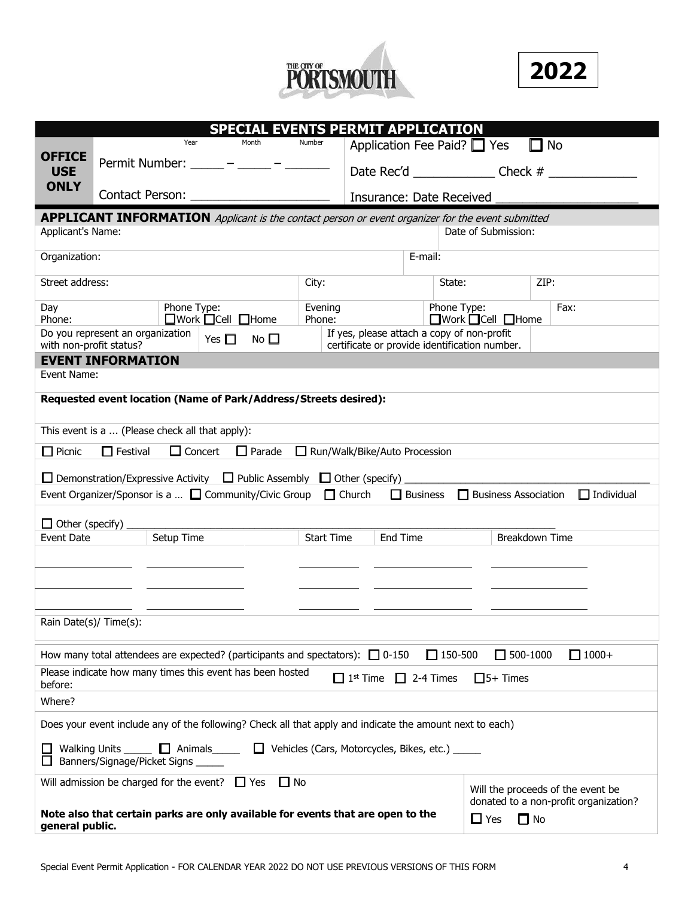



| <b>SPECIAL EVENTS PERMIT APPLICATION</b>                                                                                                   |                                                 |                |                                                                                                                       |         |               |                               |                 |                                                                                             |                             |           |                                       |
|--------------------------------------------------------------------------------------------------------------------------------------------|-------------------------------------------------|----------------|-----------------------------------------------------------------------------------------------------------------------|---------|---------------|-------------------------------|-----------------|---------------------------------------------------------------------------------------------|-----------------------------|-----------|---------------------------------------|
|                                                                                                                                            |                                                 | Year           | Month                                                                                                                 | Number  |               |                               |                 | Application Fee Paid? $\Box$ Yes                                                            |                             |           | No                                    |
| <b>OFFICE</b><br><b>USE</b>                                                                                                                | Permit Number:                                  |                | <u> 1999 – Albert Albert III, prestavlja predstavlja predstavlja predstavlja predstavlja predstavlja predstavlja </u> |         |               |                               |                 | Date Rec'd Check #                                                                          |                             |           |                                       |
| <b>ONLY</b>                                                                                                                                |                                                 |                | Contact Person: New York Contact Person:                                                                              |         |               |                               |                 | Insurance: Date Received                                                                    |                             |           |                                       |
|                                                                                                                                            |                                                 |                |                                                                                                                       |         |               |                               |                 |                                                                                             |                             |           |                                       |
|                                                                                                                                            |                                                 |                | <b>APPLICANT INFORMATION</b> Applicant is the contact person or event organizer for the event submitted               |         |               |                               |                 |                                                                                             |                             |           |                                       |
| Applicant's Name:                                                                                                                          |                                                 |                |                                                                                                                       |         |               |                               |                 |                                                                                             | Date of Submission:         |           |                                       |
| Organization:                                                                                                                              |                                                 |                |                                                                                                                       |         |               |                               | E-mail:         |                                                                                             |                             |           |                                       |
| Street address:                                                                                                                            |                                                 |                |                                                                                                                       | City:   |               |                               |                 | State:                                                                                      |                             | ZIP:      |                                       |
| Day                                                                                                                                        |                                                 | Phone Type:    |                                                                                                                       | Evening |               |                               |                 | Phone Type:                                                                                 |                             |           | Fax:                                  |
| Phone:                                                                                                                                     |                                                 |                | $\Box$ Work $\Box$ Cell $\Box$ Home                                                                                   | Phone:  |               |                               |                 | $\Box$ Work $\Box$ Cell $\Box$ Home                                                         |                             |           |                                       |
| with non-profit status?                                                                                                                    | Do you represent an organization                |                | Yes $\Box$<br>No $\square$                                                                                            |         |               |                               |                 | If yes, please attach a copy of non-profit<br>certificate or provide identification number. |                             |           |                                       |
|                                                                                                                                            | <b>EVENT INFORMATION</b>                        |                |                                                                                                                       |         |               |                               |                 |                                                                                             |                             |           |                                       |
| Event Name:                                                                                                                                |                                                 |                |                                                                                                                       |         |               |                               |                 |                                                                                             |                             |           |                                       |
|                                                                                                                                            |                                                 |                | Requested event location (Name of Park/Address/Streets desired):                                                      |         |               |                               |                 |                                                                                             |                             |           |                                       |
|                                                                                                                                            |                                                 |                |                                                                                                                       |         |               |                               |                 |                                                                                             |                             |           |                                       |
|                                                                                                                                            | This event is a  (Please check all that apply): |                |                                                                                                                       |         |               |                               |                 |                                                                                             |                             |           |                                       |
| $\Box$ Picnic                                                                                                                              | $\Box$ Festival                                 | $\Box$ Concert | $\Box$ Parade                                                                                                         |         |               | Run/Walk/Bike/Auto Procession |                 |                                                                                             |                             |           |                                       |
|                                                                                                                                            |                                                 |                | $\Box$ Demonstration/Expressive Activity $\Box$ Public Assembly $\Box$ Other (specify)                                |         |               |                               |                 |                                                                                             |                             |           |                                       |
|                                                                                                                                            |                                                 |                | Event Organizer/Sponsor is a $\Box$ Community/Civic Group                                                             |         | $\Box$ Church |                               | $\Box$ Business |                                                                                             |                             |           | $\Box$ Individual                     |
|                                                                                                                                            |                                                 |                |                                                                                                                       |         |               |                               |                 |                                                                                             | $\Box$ Business Association |           |                                       |
| $\Box$ Other (specify)                                                                                                                     |                                                 |                |                                                                                                                       |         |               |                               |                 |                                                                                             |                             |           |                                       |
| Setup Time<br><b>Start Time</b><br>End Time<br>Breakdown Time<br>Event Date                                                                |                                                 |                |                                                                                                                       |         |               |                               |                 |                                                                                             |                             |           |                                       |
|                                                                                                                                            |                                                 |                |                                                                                                                       |         |               |                               |                 |                                                                                             |                             |           |                                       |
|                                                                                                                                            |                                                 |                |                                                                                                                       |         |               |                               |                 |                                                                                             |                             |           |                                       |
|                                                                                                                                            |                                                 |                |                                                                                                                       |         |               |                               |                 |                                                                                             |                             |           |                                       |
|                                                                                                                                            |                                                 |                |                                                                                                                       |         |               |                               |                 |                                                                                             |                             |           |                                       |
| Rain Date(s)/ Time(s):                                                                                                                     |                                                 |                |                                                                                                                       |         |               |                               |                 |                                                                                             |                             |           |                                       |
|                                                                                                                                            |                                                 |                |                                                                                                                       |         |               |                               |                 |                                                                                             |                             |           |                                       |
|                                                                                                                                            |                                                 |                | How many total attendees are expected? (participants and spectators): $\Box$ 0-150                                    |         |               |                               |                 | $\Box$ 150-500                                                                              | $\Box$ 500-1000             |           | $\Box$ 1000+                          |
| Please indicate how many times this event has been hosted<br>$\Box$ 2-4 Times<br>$\Box$ 5+ Times<br>$\Box$ 1 <sup>st</sup> Time<br>before: |                                                 |                |                                                                                                                       |         |               |                               |                 |                                                                                             |                             |           |                                       |
| Where?                                                                                                                                     |                                                 |                |                                                                                                                       |         |               |                               |                 |                                                                                             |                             |           |                                       |
| Does your event include any of the following? Check all that apply and indicate the amount next to each)                                   |                                                 |                |                                                                                                                       |         |               |                               |                 |                                                                                             |                             |           |                                       |
| $\Box$ Animals $\Box$ Vehicles (Cars, Motorcycles, Bikes, etc.) $\Box$<br>Walking Units<br>Banners/Signage/Picket Signs _____              |                                                 |                |                                                                                                                       |         |               |                               |                 |                                                                                             |                             |           |                                       |
|                                                                                                                                            |                                                 |                |                                                                                                                       |         |               |                               |                 |                                                                                             |                             |           |                                       |
|                                                                                                                                            |                                                 |                | Will admission be charged for the event? $\Box$ Yes<br>$\Box$ No                                                      |         |               |                               |                 |                                                                                             |                             |           | Will the proceeds of the event be     |
|                                                                                                                                            |                                                 |                | Note also that certain parks are only available for events that are open to the                                       |         |               |                               |                 |                                                                                             |                             |           | donated to a non-profit organization? |
| general public.                                                                                                                            |                                                 |                |                                                                                                                       |         |               |                               |                 |                                                                                             | $\Box$ Yes                  | $\Box$ No |                                       |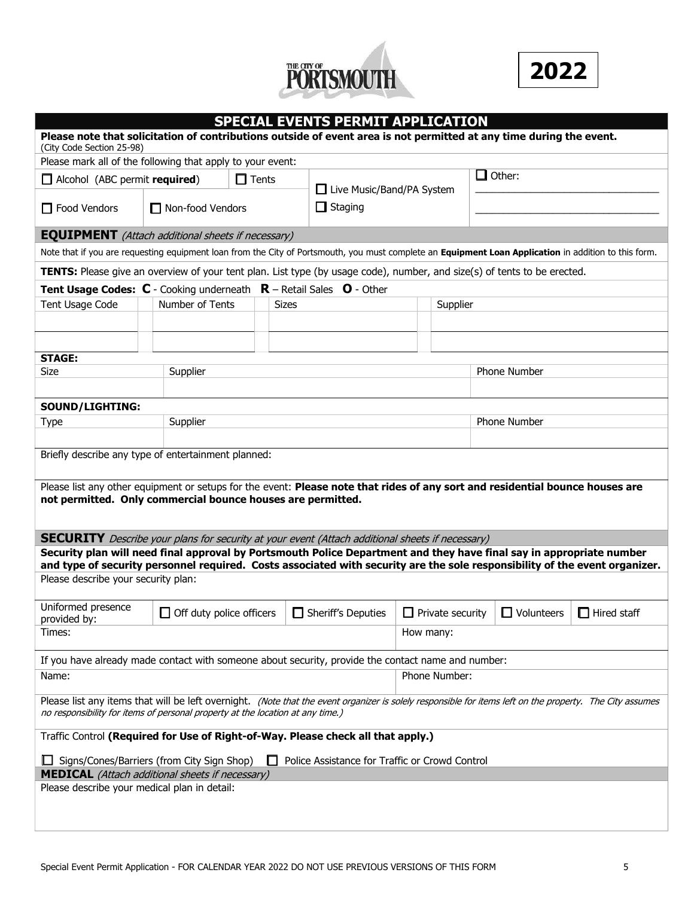



| <b>SPECIAL EVENTS PERMIT APPLICATION</b>                                                                                                                                                                                                            |  |                                 |  |  |              |                    |           |                         |                     |                   |                    |
|-----------------------------------------------------------------------------------------------------------------------------------------------------------------------------------------------------------------------------------------------------|--|---------------------------------|--|--|--------------|--------------------|-----------|-------------------------|---------------------|-------------------|--------------------|
| Please note that solicitation of contributions outside of event area is not permitted at any time during the event.<br>(City Code Section 25-98)                                                                                                    |  |                                 |  |  |              |                    |           |                         |                     |                   |                    |
| Please mark all of the following that apply to your event:                                                                                                                                                                                          |  |                                 |  |  |              |                    |           |                         |                     |                   |                    |
| $\Box$ Other:<br>$\Box$ Alcohol (ABC permit required)<br>$\Box$ Tents<br>□ Live Music/Band/PA System                                                                                                                                                |  |                                 |  |  |              |                    |           |                         |                     |                   |                    |
| $\Box$ Food Vendors                                                                                                                                                                                                                                 |  | $\Box$ Non-food Vendors         |  |  |              | $\Box$ Staging     |           |                         |                     |                   |                    |
| <b>EQUIPMENT</b> (Attach additional sheets if necessary)                                                                                                                                                                                            |  |                                 |  |  |              |                    |           |                         |                     |                   |                    |
| Note that if you are requesting equipment loan from the City of Portsmouth, you must complete an Equipment Loan Application in addition to this form.                                                                                               |  |                                 |  |  |              |                    |           |                         |                     |                   |                    |
| <b>TENTS:</b> Please give an overview of your tent plan. List type (by usage code), number, and size(s) of tents to be erected.                                                                                                                     |  |                                 |  |  |              |                    |           |                         |                     |                   |                    |
| <b>Tent Usage Codes: <math>C</math></b> - Cooking underneath $R$ – Retail Sales $O$ - Other                                                                                                                                                         |  |                                 |  |  |              |                    |           |                         |                     |                   |                    |
| Tent Usage Code                                                                                                                                                                                                                                     |  | Number of Tents                 |  |  | <b>Sizes</b> |                    |           | Supplier                |                     |                   |                    |
|                                                                                                                                                                                                                                                     |  |                                 |  |  |              |                    |           |                         |                     |                   |                    |
|                                                                                                                                                                                                                                                     |  |                                 |  |  |              |                    |           |                         |                     |                   |                    |
| <b>STAGE:</b>                                                                                                                                                                                                                                       |  |                                 |  |  |              |                    |           |                         |                     |                   |                    |
| Size                                                                                                                                                                                                                                                |  | Supplier                        |  |  |              |                    |           |                         |                     | Phone Number      |                    |
|                                                                                                                                                                                                                                                     |  |                                 |  |  |              |                    |           |                         |                     |                   |                    |
| SOUND/LIGHTING:                                                                                                                                                                                                                                     |  |                                 |  |  |              |                    |           |                         |                     |                   |                    |
| <b>Type</b>                                                                                                                                                                                                                                         |  | Supplier                        |  |  |              |                    |           |                         | <b>Phone Number</b> |                   |                    |
|                                                                                                                                                                                                                                                     |  |                                 |  |  |              |                    |           |                         |                     |                   |                    |
| Briefly describe any type of entertainment planned:                                                                                                                                                                                                 |  |                                 |  |  |              |                    |           |                         |                     |                   |                    |
| Please list any other equipment or setups for the event: Please note that rides of any sort and residential bounce houses are<br>not permitted. Only commercial bounce houses are permitted.                                                        |  |                                 |  |  |              |                    |           |                         |                     |                   |                    |
| <b>SECURITY</b> Describe your plans for security at your event (Attach additional sheets if necessary)                                                                                                                                              |  |                                 |  |  |              |                    |           |                         |                     |                   |                    |
| Security plan will need final approval by Portsmouth Police Department and they have final say in appropriate number<br>and type of security personnel required. Costs associated with security are the sole responsibility of the event organizer. |  |                                 |  |  |              |                    |           |                         |                     |                   |                    |
| Please describe your security plan:                                                                                                                                                                                                                 |  |                                 |  |  |              |                    |           |                         |                     |                   |                    |
| Uniformed presence<br>provided by:                                                                                                                                                                                                                  |  | $\Box$ Off duty police officers |  |  |              | Sheriff's Deputies |           | $\Box$ Private security |                     | $\Box$ Volunteers | $\Box$ Hired staff |
| Times:                                                                                                                                                                                                                                              |  |                                 |  |  |              |                    | How many: |                         |                     |                   |                    |
| If you have already made contact with someone about security, provide the contact name and number:                                                                                                                                                  |  |                                 |  |  |              |                    |           |                         |                     |                   |                    |
| Phone Number:<br>Name:                                                                                                                                                                                                                              |  |                                 |  |  |              |                    |           |                         |                     |                   |                    |
| Please list any items that will be left overnight. (Note that the event organizer is solely responsible for items left on the property. The City assumes<br>no responsibility for items of personal property at the location at any time.)          |  |                                 |  |  |              |                    |           |                         |                     |                   |                    |
| Traffic Control (Required for Use of Right-of-Way. Please check all that apply.)                                                                                                                                                                    |  |                                 |  |  |              |                    |           |                         |                     |                   |                    |
| □ Signs/Cones/Barriers (from City Sign Shop)<br>Police Assistance for Traffic or Crowd Control                                                                                                                                                      |  |                                 |  |  |              |                    |           |                         |                     |                   |                    |
| <b>MEDICAL</b> (Attach additional sheets if necessary)                                                                                                                                                                                              |  |                                 |  |  |              |                    |           |                         |                     |                   |                    |
| Please describe your medical plan in detail:                                                                                                                                                                                                        |  |                                 |  |  |              |                    |           |                         |                     |                   |                    |
|                                                                                                                                                                                                                                                     |  |                                 |  |  |              |                    |           |                         |                     |                   |                    |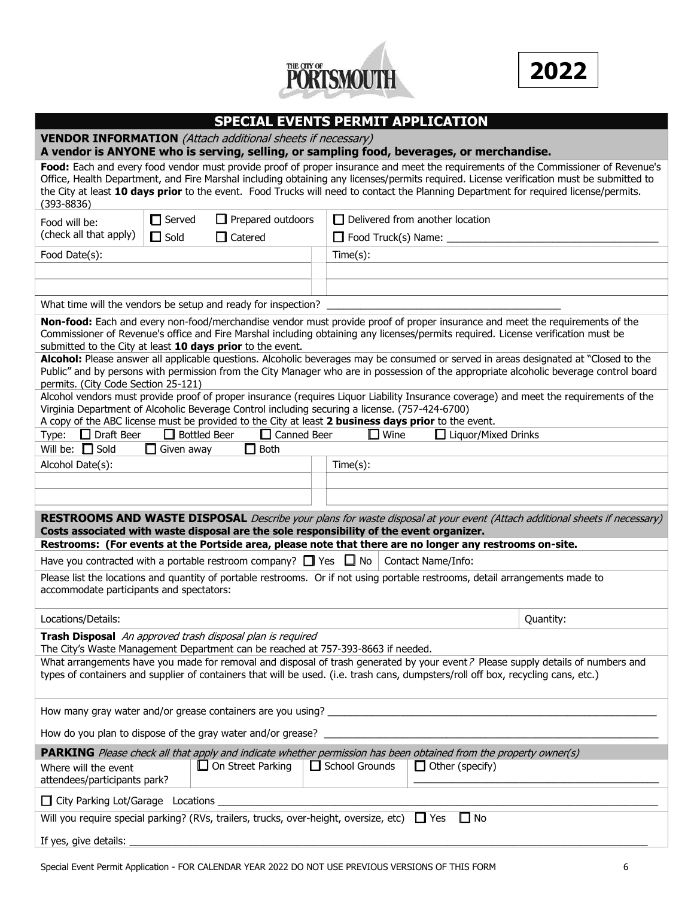



|                                                                                                                                                                                                       |                     | <b>SPECIAL EVENTS PERMIT APPLICATION</b> |                       |                                        |                                                                                                                                                                                                                                                                                                                                                                                                                        |
|-------------------------------------------------------------------------------------------------------------------------------------------------------------------------------------------------------|---------------------|------------------------------------------|-----------------------|----------------------------------------|------------------------------------------------------------------------------------------------------------------------------------------------------------------------------------------------------------------------------------------------------------------------------------------------------------------------------------------------------------------------------------------------------------------------|
| <b>VENDOR INFORMATION</b> (Attach additional sheets if necessary)<br>A vendor is ANYONE who is serving, selling, or sampling food, beverages, or merchandise.                                         |                     |                                          |                       |                                        |                                                                                                                                                                                                                                                                                                                                                                                                                        |
| $(393 - 8836)$                                                                                                                                                                                        |                     |                                          |                       |                                        | Food: Each and every food vendor must provide proof of proper insurance and meet the requirements of the Commissioner of Revenue's<br>Office, Health Department, and Fire Marshal including obtaining any licenses/permits required. License verification must be submitted to<br>the City at least 10 days prior to the event. Food Trucks will need to contact the Planning Department for required license/permits. |
| Food will be:                                                                                                                                                                                         | $\Box$ Served       | $\Box$ Prepared outdoors                 |                       | $\Box$ Delivered from another location |                                                                                                                                                                                                                                                                                                                                                                                                                        |
| (check all that apply)                                                                                                                                                                                | $\Box$ Sold         | Catered                                  | Food Truck(s) Name: _ |                                        |                                                                                                                                                                                                                                                                                                                                                                                                                        |
| Food Date(s):                                                                                                                                                                                         |                     |                                          | Time(s):              |                                        |                                                                                                                                                                                                                                                                                                                                                                                                                        |
|                                                                                                                                                                                                       |                     |                                          |                       |                                        |                                                                                                                                                                                                                                                                                                                                                                                                                        |
|                                                                                                                                                                                                       |                     |                                          |                       |                                        |                                                                                                                                                                                                                                                                                                                                                                                                                        |
| What time will the vendors be setup and ready for inspection?                                                                                                                                         |                     |                                          |                       |                                        |                                                                                                                                                                                                                                                                                                                                                                                                                        |
| submitted to the City at least 10 days prior to the event.                                                                                                                                            |                     |                                          |                       |                                        | Non-food: Each and every non-food/merchandise vendor must provide proof of proper insurance and meet the requirements of the<br>Commissioner of Revenue's office and Fire Marshal including obtaining any licenses/permits required. License verification must be                                                                                                                                                      |
| permits. (City Code Section 25-121)                                                                                                                                                                   |                     |                                          |                       |                                        | Alcohol: Please answer all applicable questions. Alcoholic beverages may be consumed or served in areas designated at "Closed to the<br>Public" and by persons with permission from the City Manager who are in possession of the appropriate alcoholic beverage control board                                                                                                                                         |
| Virginia Department of Alcoholic Beverage Control including securing a license. (757-424-6700)<br>A copy of the ABC license must be provided to the City at least 2 business days prior to the event. |                     |                                          |                       |                                        | Alcohol vendors must provide proof of proper insurance (requires Liquor Liability Insurance coverage) and meet the requirements of the                                                                                                                                                                                                                                                                                 |
| $\Box$ Draft Beer<br>Type:                                                                                                                                                                            | $\Box$ Bottled Beer | $\Box$ Canned Beer                       | $\square$ Wine        | $\Box$ Liquor/Mixed Drinks             |                                                                                                                                                                                                                                                                                                                                                                                                                        |
| Will be: $\Box$ Sold                                                                                                                                                                                  | $\Box$ Given away   | $\Box$ Both                              |                       |                                        |                                                                                                                                                                                                                                                                                                                                                                                                                        |
| Alcohol Date(s):                                                                                                                                                                                      |                     |                                          | Time(s):              |                                        |                                                                                                                                                                                                                                                                                                                                                                                                                        |
|                                                                                                                                                                                                       |                     |                                          |                       |                                        |                                                                                                                                                                                                                                                                                                                                                                                                                        |
|                                                                                                                                                                                                       |                     |                                          |                       |                                        |                                                                                                                                                                                                                                                                                                                                                                                                                        |
| Costs associated with waste disposal are the sole responsibility of the event organizer.<br>Restrooms: (For events at the Portside area, please note that there are no longer any restrooms on-site.  |                     |                                          |                       |                                        | RESTROOMS AND WASTE DISPOSAL Describe your plans for waste disposal at your event (Attach additional sheets if necessary)                                                                                                                                                                                                                                                                                              |
| Have you contracted with a portable restroom company? $\Box$ Yes $\Box$ No $\Box$ Contact Name/Info:                                                                                                  |                     |                                          |                       |                                        |                                                                                                                                                                                                                                                                                                                                                                                                                        |
| Please list the locations and quantity of portable restrooms. Or if not using portable restrooms, detail arrangements made to<br>accommodate participants and spectators:                             |                     |                                          |                       |                                        |                                                                                                                                                                                                                                                                                                                                                                                                                        |
| Locations/Details:                                                                                                                                                                                    |                     |                                          |                       |                                        | Quantity:                                                                                                                                                                                                                                                                                                                                                                                                              |
| Trash Disposal An approved trash disposal plan is required<br>The City's Waste Management Department can be reached at 757-393-8663 if needed.                                                        |                     |                                          |                       |                                        |                                                                                                                                                                                                                                                                                                                                                                                                                        |
| types of containers and supplier of containers that will be used. (i.e. trash cans, dumpsters/roll off box, recycling cans, etc.)                                                                     |                     |                                          |                       |                                        | What arrangements have you made for removal and disposal of trash generated by your event? Please supply details of numbers and                                                                                                                                                                                                                                                                                        |
|                                                                                                                                                                                                       |                     |                                          |                       |                                        |                                                                                                                                                                                                                                                                                                                                                                                                                        |
| How do you plan to dispose of the gray water and/or grease?                                                                                                                                           |                     |                                          |                       |                                        |                                                                                                                                                                                                                                                                                                                                                                                                                        |
| PARKING Please check all that apply and indicate whether permission has been obtained from the property owner(s)                                                                                      |                     |                                          |                       |                                        |                                                                                                                                                                                                                                                                                                                                                                                                                        |
| Where will the event<br>attendees/participants park?                                                                                                                                                  |                     | $\Box$ On Street Parking                 | $\Box$ School Grounds | Other (specify)                        |                                                                                                                                                                                                                                                                                                                                                                                                                        |
| City Parking Lot/Garage Locations                                                                                                                                                                     |                     |                                          |                       |                                        |                                                                                                                                                                                                                                                                                                                                                                                                                        |

If yes, give details: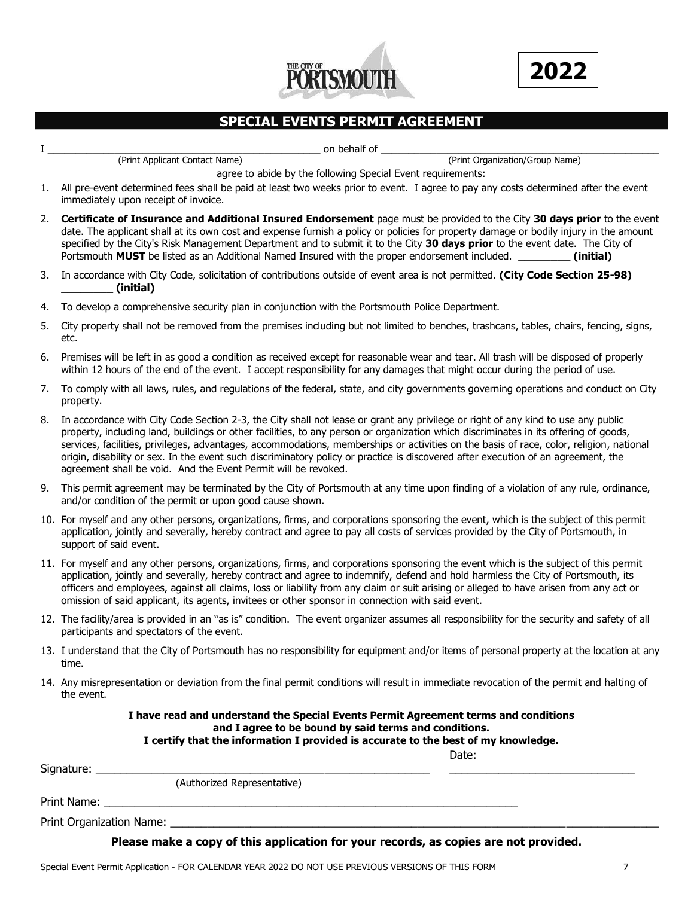



## **SPECIAL EVENTS PERMIT AGREEMENT**

I \_\_\_\_\_\_\_\_\_\_\_\_\_\_\_\_\_\_\_\_\_\_\_\_\_\_\_\_\_\_\_\_\_\_\_\_\_\_\_\_\_\_\_\_\_\_\_\_\_ on behalf of \_\_\_\_\_\_\_\_\_\_\_\_\_\_\_\_\_\_\_\_\_\_\_\_\_\_\_\_\_\_\_\_\_\_\_\_\_\_\_\_\_\_\_\_\_\_\_\_\_\_

(Print Applicant Contact Name) (Print Organization/Group Name)

- agree to abide by the following Special Event requirements: 1. All pre-event determined fees shall be paid at least two weeks prior to event. I agree to pay any costs determined after the event immediately upon receipt of invoice.
- 2. **Certificate of Insurance and Additional Insured Endorsement** page must be provided to the City **30 days prior** to the event date. The applicant shall at its own cost and expense furnish a policy or policies for property damage or bodily injury in the amount specified by the City's Risk Management Department and to submit it to the City **30 days prior** to the event date. The City of Portsmouth **MUST** be listed as an Additional Named Insured with the proper endorsement included. **\_\_\_\_\_\_\_\_ (initial)**
- 3. In accordance with City Code, solicitation of contributions outside of event area is not permitted. **(City Code Section 25-98) \_\_\_\_\_\_\_\_ (initial)**
- 4. To develop a comprehensive security plan in conjunction with the Portsmouth Police Department.
- 5. City property shall not be removed from the premises including but not limited to benches, trashcans, tables, chairs, fencing, signs, etc.
- 6. Premises will be left in as good a condition as received except for reasonable wear and tear. All trash will be disposed of properly within 12 hours of the end of the event. I accept responsibility for any damages that might occur during the period of use.
- 7. To comply with all laws, rules, and regulations of the federal, state, and city governments governing operations and conduct on City property.
- 8. In accordance with City Code Section 2-3, the City shall not lease or grant any privilege or right of any kind to use any public property, including land, buildings or other facilities, to any person or organization which discriminates in its offering of goods, services, facilities, privileges, advantages, accommodations, memberships or activities on the basis of race, color, religion, national origin, disability or sex. In the event such discriminatory policy or practice is discovered after execution of an agreement, the agreement shall be void. And the Event Permit will be revoked.
- 9. This permit agreement may be terminated by the City of Portsmouth at any time upon finding of a violation of any rule, ordinance, and/or condition of the permit or upon good cause shown.
- 10. For myself and any other persons, organizations, firms, and corporations sponsoring the event, which is the subject of this permit application, jointly and severally, hereby contract and agree to pay all costs of services provided by the City of Portsmouth, in support of said event.
- 11. For myself and any other persons, organizations, firms, and corporations sponsoring the event which is the subject of this permit application, jointly and severally, hereby contract and agree to indemnify, defend and hold harmless the City of Portsmouth, its officers and employees, against all claims, loss or liability from any claim or suit arising or alleged to have arisen from any act or omission of said applicant, its agents, invitees or other sponsor in connection with said event.
- 12. The facility/area is provided in an "as is" condition. The event organizer assumes all responsibility for the security and safety of all participants and spectators of the event.
- 13. I understand that the City of Portsmouth has no responsibility for equipment and/or items of personal property at the location at any time.
- 14. Any misrepresentation or deviation from the final permit conditions will result in immediate revocation of the permit and halting of the event.

| I have read and understand the Special Events Permit Agreement terms and conditions<br>and I agree to be bound by said terms and conditions.<br>I certify that the information I provided is accurate to the best of my knowledge. |                                                                                      |  |  |  |  |  |
|------------------------------------------------------------------------------------------------------------------------------------------------------------------------------------------------------------------------------------|--------------------------------------------------------------------------------------|--|--|--|--|--|
|                                                                                                                                                                                                                                    | Date:                                                                                |  |  |  |  |  |
| (Authorized Representative)                                                                                                                                                                                                        |                                                                                      |  |  |  |  |  |
|                                                                                                                                                                                                                                    |                                                                                      |  |  |  |  |  |
|                                                                                                                                                                                                                                    |                                                                                      |  |  |  |  |  |
|                                                                                                                                                                                                                                    | Please make a copy of this application for your records, as copies are not provided. |  |  |  |  |  |